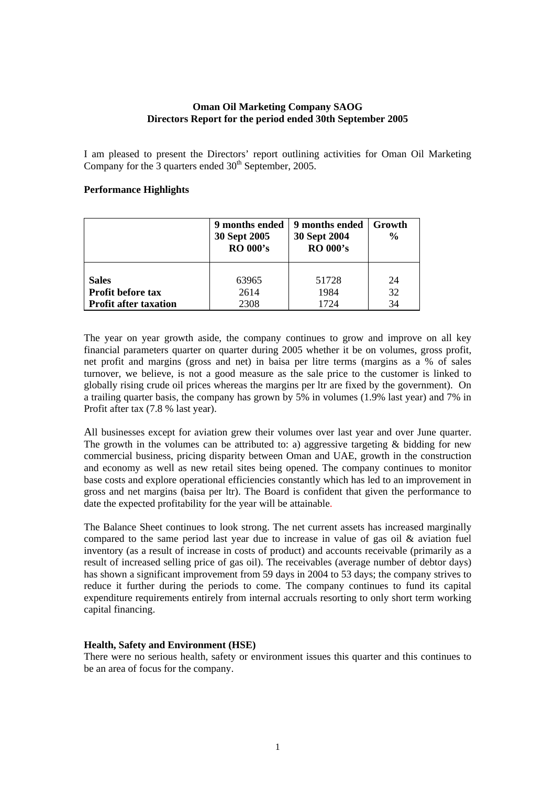# **Oman Oil Marketing Company SAOG Directors Report for the period ended 30th September 2005**

I am pleased to present the Directors' report outlining activities for Oman Oil Marketing Company for the 3 quarters ended  $30<sup>th</sup>$  September, 2005.

# **Performance Highlights**

|                              | 9 months ended<br>30 Sept 2005<br><b>RO 000's</b> | 9 months ended<br>30 Sept 2004<br><b>RO 000's</b> | Growth<br>$\frac{0}{0}$ |
|------------------------------|---------------------------------------------------|---------------------------------------------------|-------------------------|
| <b>Sales</b>                 | 63965                                             | 51728                                             | 24                      |
| <b>Profit before tax</b>     | 2614                                              | 1984                                              | 32                      |
| <b>Profit after taxation</b> | 2308                                              | 1724                                              | 34                      |

The year on year growth aside, the company continues to grow and improve on all key financial parameters quarter on quarter during 2005 whether it be on volumes, gross profit, net profit and margins (gross and net) in baisa per litre terms (margins as a % of sales turnover, we believe, is not a good measure as the sale price to the customer is linked to globally rising crude oil prices whereas the margins per ltr are fixed by the government). On a trailing quarter basis, the company has grown by  $5\%$  in volumes (1.9% last year) and 7% in Profit after tax (7.8 % last year).

All businesses except for aviation grew their volumes over last year and over June quarter. The growth in the volumes can be attributed to: a) aggressive targeting  $\&$  bidding for new commercial business, pricing disparity between Oman and UAE, growth in the construction and economy as well as new retail sites being opened. The company continues to monitor base costs and explore operational efficiencies constantly which has led to an improvement in gross and net margins (baisa per ltr). The Board is confident that given the performance to date the expected profitability for the year will be attainable.

The Balance Sheet continues to look strong. The net current assets has increased marginally compared to the same period last year due to increase in value of gas oil & aviation fuel inventory (as a result of increase in costs of product) and accounts receivable (primarily as a result of increased selling price of gas oil). The receivables (average number of debtor days) has shown a significant improvement from 59 days in 2004 to 53 days; the company strives to reduce it further during the periods to come. The company continues to fund its capital expenditure requirements entirely from internal accruals resorting to only short term working capital financing.

### **Health, Safety and Environment (HSE)**

There were no serious health, safety or environment issues this quarter and this continues to be an area of focus for the company.